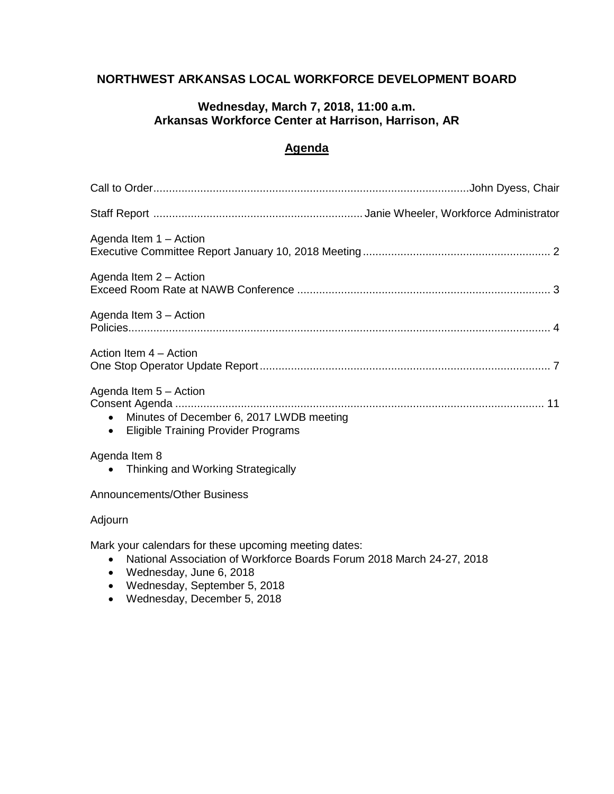## **NORTHWEST ARKANSAS LOCAL WORKFORCE DEVELOPMENT BOARD**

### **Wednesday, March 7, 2018, 11:00 a.m. Arkansas Workforce Center at Harrison, Harrison, AR**

# **Agenda**

| Agenda Item 1 - Action                                                                                                        |
|-------------------------------------------------------------------------------------------------------------------------------|
| Agenda Item 2 - Action                                                                                                        |
| Agenda Item 3 - Action                                                                                                        |
| Action Item 4 - Action                                                                                                        |
| Agenda Item 5 - Action<br>Minutes of December 6, 2017 LWDB meeting<br><b>Eligible Training Provider Programs</b><br>$\bullet$ |
| Agenda Item 8<br>• Thinking and Working Strategically                                                                         |
| <b>Announcements/Other Business</b>                                                                                           |
| Adjourn                                                                                                                       |
| Mark vour calondare for those uncoming mooting datos:                                                                         |

Mark your calendars for these upcoming meeting dates:

- National Association of Workforce Boards Forum 2018 March 24-27, 2018
- Wednesday, June 6, 2018
- Wednesday, September 5, 2018
- Wednesday, December 5, 2018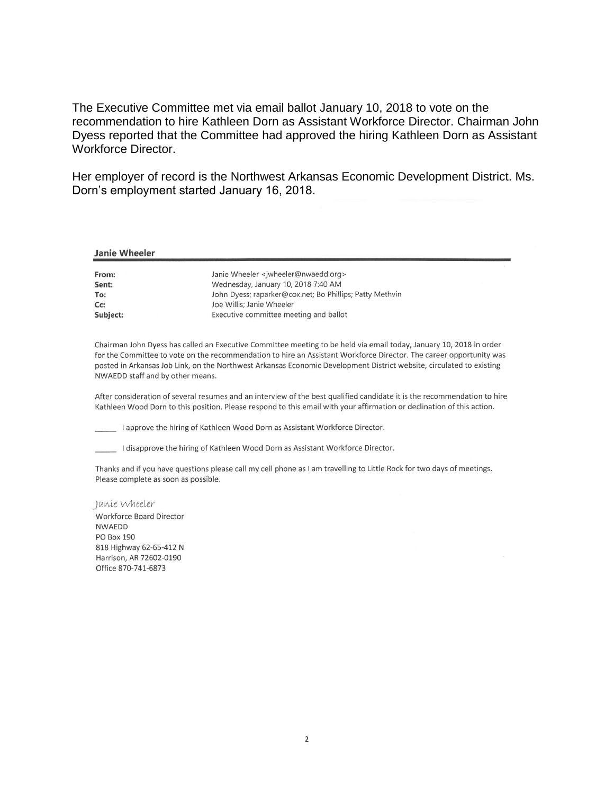The Executive Committee met via email ballot January 10, 2018 to vote on the recommendation to hire Kathleen Dorn as Assistant Workforce Director. Chairman John Dyess reported that the Committee had approved the hiring Kathleen Dorn as Assistant Workforce Director.

Her employer of record is the Northwest Arkansas Economic Development District. Ms. Dorn's employment started January 16, 2018.

| <b>Janie Wheeler</b> |                                                           |  |
|----------------------|-----------------------------------------------------------|--|
| From:                | Janie Wheeler <jwheeler@nwaedd.org></jwheeler@nwaedd.org> |  |
| Sent:                | Wednesday, January 10, 2018 7:40 AM                       |  |
| To:                  | John Dyess; raparker@cox.net; Bo Phillips; Patty Methvin  |  |
| Cc:                  | Joe Willis; Janie Wheeler                                 |  |
| Subject:             | Executive committee meeting and ballot                    |  |

Chairman John Dyess has called an Executive Committee meeting to be held via email today, January 10, 2018 in order for the Committee to vote on the recommendation to hire an Assistant Workforce Director. The career opportunity was posted in Arkansas Job Link, on the Northwest Arkansas Economic Development District website, circulated to existing NWAEDD staff and by other means.

After consideration of several resumes and an interview of the best qualified candidate it is the recommendation to hire Kathleen Wood Dorn to this position. Please respond to this email with your affirmation or declination of this action.

I approve the hiring of Kathleen Wood Dorn as Assistant Workforce Director.

I disapprove the hiring of Kathleen Wood Dorn as Assistant Workforce Director.

Thanks and if you have questions please call my cell phone as I am travelling to Little Rock for two days of meetings. Please complete as soon as possible.

Janie Wheeler

Workforce Board Director **NWAEDD** PO Box 190 818 Highway 62-65-412 N Harrison, AR 72602-0190 Office 870-741-6873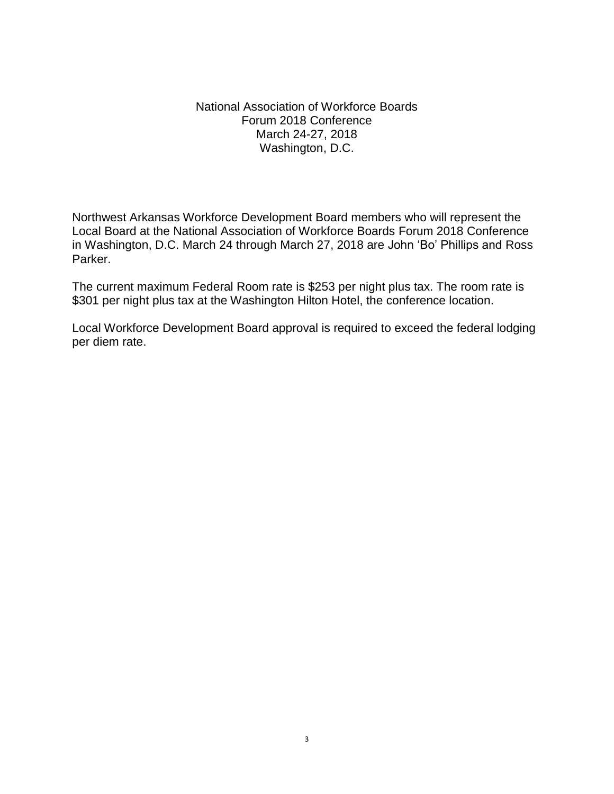National Association of Workforce Boards Forum 2018 Conference March 24-27, 2018 Washington, D.C.

Northwest Arkansas Workforce Development Board members who will represent the Local Board at the National Association of Workforce Boards Forum 2018 Conference in Washington, D.C. March 24 through March 27, 2018 are John 'Bo' Phillips and Ross Parker.

The current maximum Federal Room rate is \$253 per night plus tax. The room rate is \$301 per night plus tax at the Washington Hilton Hotel, the conference location.

Local Workforce Development Board approval is required to exceed the federal lodging per diem rate.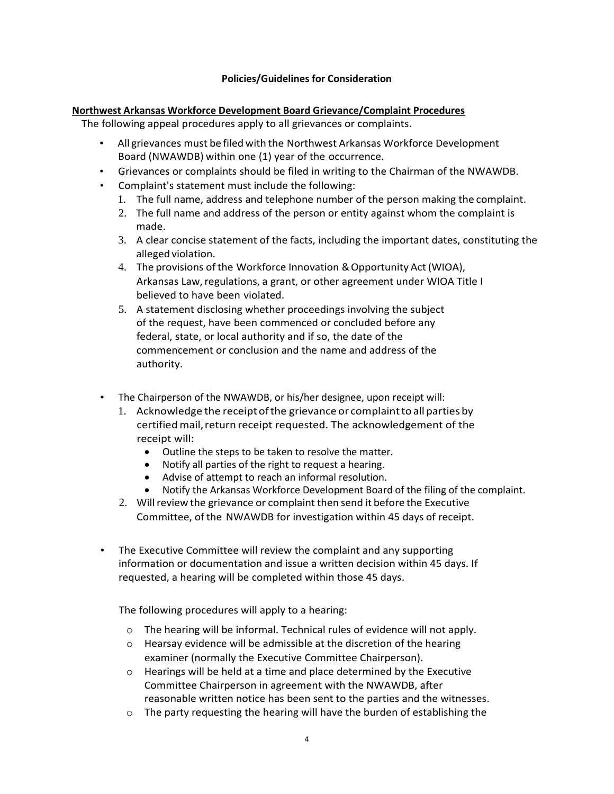#### **Policies/Guidelines for Consideration**

#### **Northwest Arkansas Workforce Development Board Grievance/Complaint Procedures**

The following appeal procedures apply to all grievances or complaints.

- All grievances must be filed with the Northwest Arkansas Workforce Development Board (NWAWDB) within one (1) year of the occurrence.
- Grievances or complaints should be filed in writing to the Chairman of the NWAWDB.
- Complaint's statement must include the following:
	- 1. The full name, address and telephone number of the person making the complaint.
	- 2. The full name and address of the person or entity against whom the complaint is made.
	- 3. A clear concise statement of the facts, including the important dates, constituting the alleged violation.
	- 4. The provisions ofthe Workforce Innovation &Opportunity Act(WIOA), Arkansas Law, regulations, a grant, or other agreement under WIOA Title I believed to have been violated.
	- 5. A statement disclosing whether proceedings involving the subject of the request, have been commenced or concluded before any federal, state, or local authority and if so, the date of the commencement or conclusion and the name and address of the authority.
- The Chairperson of the NWAWDB, or his/her designee, upon receipt will:
	- 1. Acknowledge the receiptofthe grievance or complaintto all parties by certified mail, return receipt requested. The acknowledgement of the receipt will:
		- Outline the steps to be taken to resolve the matter.
		- Notify all parties of the right to request a hearing.
		- Advise of attempt to reach an informal resolution.
		- Notify the Arkansas Workforce Development Board of the filing of the complaint.
	- 2. Willreview the grievance or complaint then send it before the Executive Committee, of the NWAWDB for investigation within 45 days of receipt.
- The Executive Committee will review the complaint and any supporting information or documentation and issue a written decision within 45 days. If requested, a hearing will be completed within those 45 days.

The following procedures will apply to a hearing:

- $\circ$  The hearing will be informal. Technical rules of evidence will not apply.
- o Hearsay evidence will be admissible at the discretion of the hearing examiner (normally the Executive Committee Chairperson).
- o Hearings will be held at a time and place determined by the Executive Committee Chairperson in agreement with the NWAWDB, after reasonable written notice has been sent to the parties and the witnesses.
- $\circ$  The party requesting the hearing will have the burden of establishing the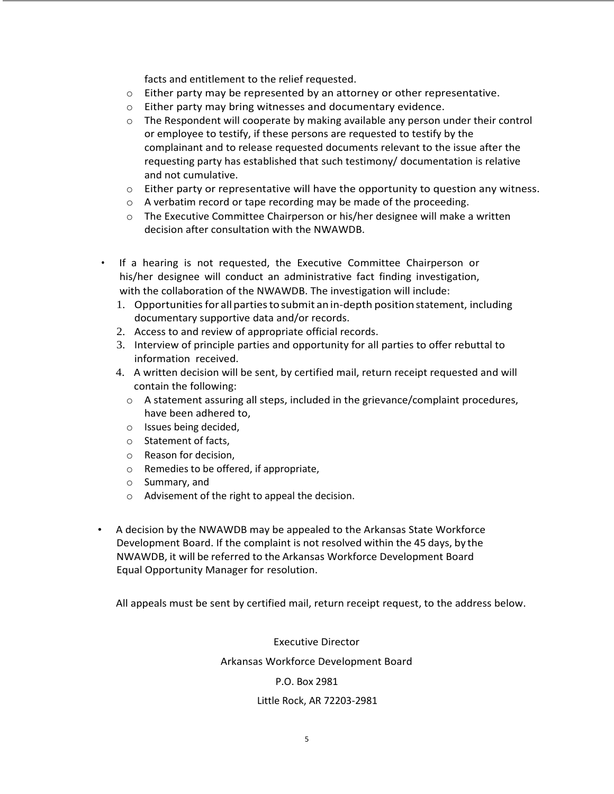facts and entitlement to the relief requested.

- o Either party may be represented by an attorney or other representative.
- o Either party may bring witnesses and documentary evidence.
- $\circ$  The Respondent will cooperate by making available any person under their control or employee to testify, if these persons are requested to testify by the complainant and to release requested documents relevant to the issue after the requesting party has established that such testimony/ documentation is relative and not cumulative.
- $\circ$  Either party or representative will have the opportunity to question any witness.
- o A verbatim record or tape recording may be made of the proceeding.
- $\circ$  The Executive Committee Chairperson or his/her designee will make a written decision after consultation with the NWAWDB.
- If a hearing is not requested, the Executive Committee Chairperson or his/her designee will conduct an administrative fact finding investigation, with the collaboration of the NWAWDB. The investigation will include:
	- 1. Opportunities for all parties to submit an in-depth position statement, including documentary supportive data and/or records.
	- 2. Access to and review of appropriate official records.
	- 3. Interview of principle parties and opportunity for all parties to offer rebuttal to information received.
	- 4. A written decision will be sent, by certified mail, return receipt requested and will contain the following:
		- o A statement assuring all steps, included in the grievance/complaint procedures, have been adhered to,
		- o Issues being decided,
		- o Statement of facts,
		- o Reason for decision,
		- o Remedies to be offered, if appropriate,
		- o Summary, and
		- o Advisement of the right to appeal the decision.
- A decision by the NWAWDB may be appealed to the Arkansas State Workforce Development Board. If the complaint is not resolved within the 45 days, by the NWAWDB, it will be referred to the Arkansas Workforce Development Board Equal Opportunity Manager for resolution.

All appeals must be sent by certified mail, return receipt request, to the address below.

Executive Director Arkansas Workforce Development Board P.O. Box 2981 Little Rock, AR 72203-2981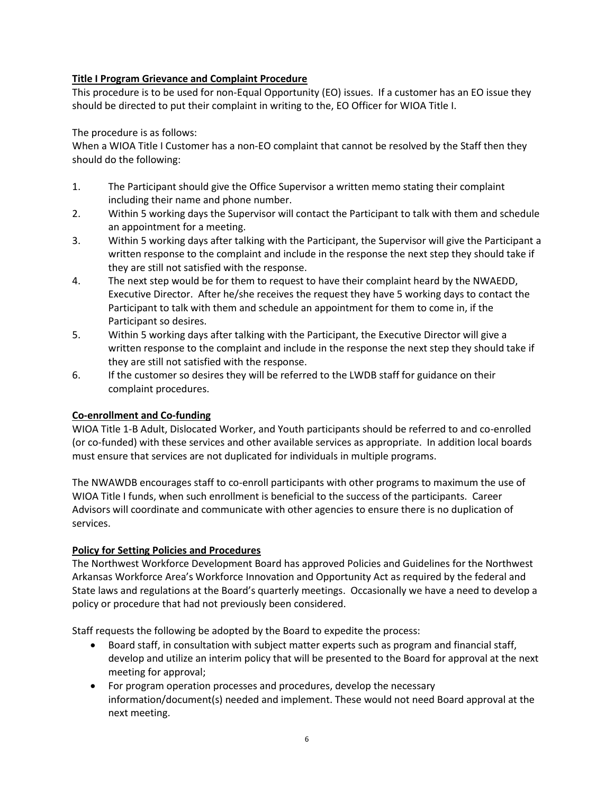#### **Title I Program Grievance and Complaint Procedure**

This procedure is to be used for non-Equal Opportunity (EO) issues. If a customer has an EO issue they should be directed to put their complaint in writing to the, EO Officer for WIOA Title I.

#### The procedure is as follows:

When a WIOA Title I Customer has a non-EO complaint that cannot be resolved by the Staff then they should do the following:

- 1. The Participant should give the Office Supervisor a written memo stating their complaint including their name and phone number.
- 2. Within 5 working days the Supervisor will contact the Participant to talk with them and schedule an appointment for a meeting.
- 3. Within 5 working days after talking with the Participant, the Supervisor will give the Participant a written response to the complaint and include in the response the next step they should take if they are still not satisfied with the response.
- 4. The next step would be for them to request to have their complaint heard by the NWAEDD, Executive Director. After he/she receives the request they have 5 working days to contact the Participant to talk with them and schedule an appointment for them to come in, if the Participant so desires.
- 5. Within 5 working days after talking with the Participant, the Executive Director will give a written response to the complaint and include in the response the next step they should take if they are still not satisfied with the response.
- 6. If the customer so desires they will be referred to the LWDB staff for guidance on their complaint procedures.

#### **Co-enrollment and Co-funding**

WIOA Title 1-B Adult, Dislocated Worker, and Youth participants should be referred to and co-enrolled (or co-funded) with these services and other available services as appropriate. In addition local boards must ensure that services are not duplicated for individuals in multiple programs.

The NWAWDB encourages staff to co-enroll participants with other programs to maximum the use of WIOA Title I funds, when such enrollment is beneficial to the success of the participants. Career Advisors will coordinate and communicate with other agencies to ensure there is no duplication of services.

#### **Policy for Setting Policies and Procedures**

The Northwest Workforce Development Board has approved Policies and Guidelines for the Northwest Arkansas Workforce Area's Workforce Innovation and Opportunity Act as required by the federal and State laws and regulations at the Board's quarterly meetings. Occasionally we have a need to develop a policy or procedure that had not previously been considered.

Staff requests the following be adopted by the Board to expedite the process:

- Board staff, in consultation with subject matter experts such as program and financial staff, develop and utilize an interim policy that will be presented to the Board for approval at the next meeting for approval;
- For program operation processes and procedures, develop the necessary information/document(s) needed and implement. These would not need Board approval at the next meeting.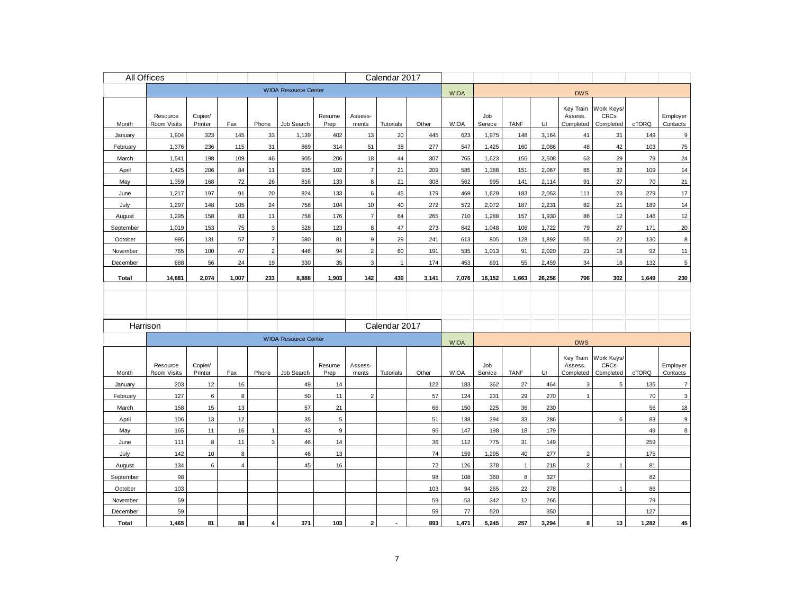| All Offices |                         |                    |                |                |                             |                |                  | Calendar 2017  |           |             |                |              |              |                                   |                                        |              |                                      |
|-------------|-------------------------|--------------------|----------------|----------------|-----------------------------|----------------|------------------|----------------|-----------|-------------|----------------|--------------|--------------|-----------------------------------|----------------------------------------|--------------|--------------------------------------|
|             |                         |                    |                |                | <b>WIOA Resource Center</b> |                |                  |                |           | <b>WIOA</b> |                |              |              | <b>DWS</b>                        |                                        |              |                                      |
| Month       | Resource<br>Room Visits | Copier/<br>Printer | Fax            | Phone          | Job Search                  | Resume<br>Prep | Assess-<br>ments | Tutorials      | Other     | <b>WIOA</b> | Job<br>Service | <b>TANF</b>  | UI           | Key Train<br>Assess.<br>Completed | Work Keys/<br><b>CRCs</b><br>Completed | cTORQ        | Employer<br>Contacts                 |
| January     | 1,904                   | 323                | 145            | 33             | 1,139                       | 402            | 13               | 20             | 445       | 623         | 1,975          | 148          | 3,164        | 41                                | 31                                     | 149          | 9                                    |
| February    | 1,376                   | 236                | 115            | 31             | 869                         | 314            | 51               | 38             | 277       | 547         | 1,425          | 160          | 2,086        | 48                                | 42                                     | 103          | 75                                   |
| March       | 1,541                   | 198                | 109            | 46             | 905                         | 206            | 18               | 44             | 307       | 765         | 1,623          | 156          | 2,508        | 63                                | 29                                     | 79           | 24                                   |
| April       | 1,425                   | 206                | 84             | 11             | 935                         | 102            | $\overline{7}$   | 21             | 209       | 585         | 1,388          | 151          | 2,067        | 85                                | 32                                     | 109          | 14                                   |
| May         | 1,359                   | 168                | 72             | 26             | 816                         | 133            | 8                | 21             | 308       | 562         | 995            | 141          | 2,114        | 91                                | 27                                     | 70           | 21                                   |
| June        | 1,217                   | 197                | 91             | 20             | 824                         | 133            | 6                | 45             | 179       | 469         | 1,629          | 183          | 2,063        | 111                               | 23                                     | 279          | 17                                   |
| July        | 1,297                   | 148                | 105            | 24             | 758                         | 104            | 10               | 40             | 272       | 572         | 2,072          | 187          | 2,231        | 82                                | 21                                     | 189          | 14                                   |
| August      | 1,295                   | 158                | 83             | 11             | 758                         | 176            | $\overline{7}$   | 64             | 265       | 710         | 1,288          | 157          | 1,930        | 86                                | 12                                     | 146          | 12                                   |
| September   | 1,019                   | 153                | 75             | 3              | 528                         | 123            | 8                | 47             | 273       | 642         | 1,048          | 106          | 1,722        | 79                                | 27                                     | 171          | 20                                   |
| October     | 995                     | 131                | 57             | $\overline{7}$ | 580                         | 81             | 9                | 29             | 241       | 613         | 805            | 128          | 1,892        | 55                                | 22                                     | 130          | 8                                    |
| November    | 765                     | 100                | 47             | $\overline{2}$ | 446                         | 94             | $\overline{2}$   | 60             | 191       | 535         | 1,013          | 91           | 2,020        | 21                                | 18                                     | 92           | 11                                   |
| December    | 688                     | 56                 | 24             | 19             | 330                         | 35             | 3                | $\overline{1}$ | 174       | 453         | 891            | 55           | 2,459        | 34                                | 18                                     | 132          | 5                                    |
| Total       | 14,881                  | 2,074              | 1,007          | 233            | 8,888                       | 1,903          | 142              | 430            | 3,141     | 7,076       | 16,152         | 1,663        | 26,256       | 796                               | 302                                    | 1,649        | 230                                  |
|             |                         |                    |                |                |                             |                |                  |                |           |             |                |              |              |                                   |                                        |              |                                      |
|             |                         |                    |                |                |                             |                |                  |                |           |             |                |              |              |                                   |                                        |              |                                      |
| Harrison    |                         |                    |                |                |                             |                |                  | Calendar 2017  |           |             |                |              |              |                                   |                                        |              |                                      |
|             |                         |                    |                |                |                             |                |                  |                |           |             |                |              |              |                                   |                                        |              |                                      |
|             |                         |                    |                |                | <b>WIOA Resource Center</b> |                |                  |                |           |             |                |              |              |                                   |                                        |              |                                      |
|             |                         |                    |                |                |                             |                |                  |                |           | <b>WIOA</b> |                |              |              | <b>DWS</b>                        |                                        |              |                                      |
| Month       | Resource<br>Room Visits | Copier/<br>Printer | Fax            | Phone          | Job Search                  | Resume<br>Prep | Assess-<br>ments | Tutorials      | Other     | <b>WIOA</b> | Job<br>Service | <b>TANF</b>  | UI           | Key Train<br>Assess.<br>Completed | Work Keys/<br><b>CRCs</b><br>Completed | cTORQ        | Employer<br>Contacts                 |
| January     | 203                     | 12                 | 16             |                | 49                          | 14             |                  |                | 122       | 183         | 362            | 27           | 464          | 3                                 | 5                                      | 135          |                                      |
| February    | 127                     | 6                  | 8              |                | 50                          | 11             | $\overline{2}$   |                | 57        | 124         | 231            | 29           | 270          | $\overline{1}$                    |                                        | 70           |                                      |
| March       | 158                     | 15                 | 13             |                | 57                          | 21             |                  |                | 66        | 150         | 225            | 36           | 230          |                                   |                                        | 56           | $\overline{7}$<br>$\mathbf{3}$<br>18 |
| April       | 106                     | 13                 | 12             |                | 35                          | $\,$ 5 $\,$    |                  |                | 51        | 138         | 294            | 33           | 286          |                                   | 6                                      | 83           |                                      |
| May         | 165                     | 11                 | 16             |                | 43                          | 9              |                  |                | 96        | 147         | 198            | 18           | 179          |                                   |                                        | 49           |                                      |
| June        | 111                     | 8                  | 11             | 3              | 46                          | 14             |                  |                | 36        | 112         | 775            | 31           | 149          |                                   |                                        | 259          | 9<br>$\bf{8}$                        |
| July        | 142                     | 10                 | 8              |                | 46                          | 13             |                  |                | 74        | 159         | 1,295          | 40           | 277          | $\overline{2}$                    |                                        | 175          |                                      |
| August      | 134                     | 6                  | $\overline{4}$ |                | 45                          | 16             |                  |                | 72        | 126         | 378            | $\mathbf{1}$ | 218          | $\overline{2}$                    | $\overline{1}$                         | 81           |                                      |
| September   | 98                      |                    |                |                |                             |                |                  |                | 98        | 108         | 360            | 8            | 327          |                                   |                                        | 82           |                                      |
| October     | 103                     |                    |                |                |                             |                |                  |                | 103       | 94          | 265            | 22           | 278          |                                   | $\overline{1}$                         | 86           |                                      |
| November    | 59                      |                    |                |                |                             |                |                  |                | 59        | 53          | 342            | 12           | 266          |                                   |                                        | 79           |                                      |
| December    | 59<br>1.465             |                    | 88             |                | 371                         |                | $\mathbf{2}$     |                | 59<br>893 | 77<br>1.471 | 520<br>5.245   | 257          | 350<br>3.294 |                                   |                                        | 127<br>1.282 | 45                                   |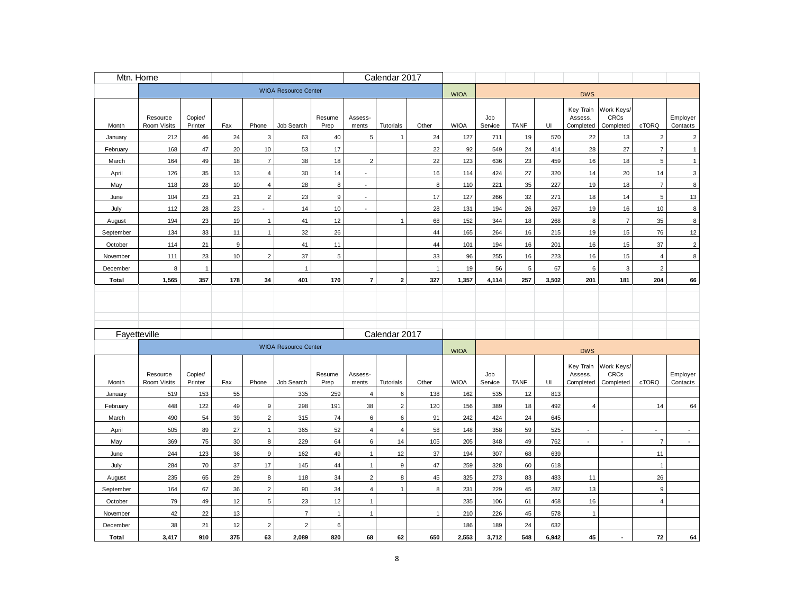|                          | Mtn. Home               |                    |           |                      |                             |                |                          | Calendar 2017  |              |                            |                |             |              |                                                 |                                        |                |                      |
|--------------------------|-------------------------|--------------------|-----------|----------------------|-----------------------------|----------------|--------------------------|----------------|--------------|----------------------------|----------------|-------------|--------------|-------------------------------------------------|----------------------------------------|----------------|----------------------|
|                          |                         |                    |           |                      | <b>WIOA Resource Center</b> |                |                          |                |              | <b>WIOA</b>                |                |             |              | <b>DWS</b>                                      |                                        |                |                      |
| Month                    | Resource<br>Room Visits | Copier/<br>Printer | Fax       | Phone                | Job Search                  | Resume<br>Prep | Assess-<br>ments         | Tutorials      | Other        | <b>WIOA</b>                | Job<br>Service | <b>TANF</b> | UI           | Key Train<br>Assess.<br>Completed               | Work Keys/<br><b>CRCs</b><br>Completed | cTORQ          | Employer<br>Contacts |
| January                  | 212                     | 46                 | 24        | 3                    | 63                          | 40             | 5                        | -1             | 24           | 127                        | 711            | 19          | 570          | 22                                              | 13                                     | $\overline{2}$ | $\overline{2}$       |
| February                 | 168                     | 47                 | 20        | 10                   | 53                          | 17             |                          |                | 22           | 92                         | 549            | 24          | 414          | 28                                              | 27                                     | $\overline{7}$ | $\mathbf{1}$         |
| March                    | 164                     | 49                 | 18        | $\overline{7}$       | 38                          | 18             | $\overline{2}$           |                | 22           | 123                        | 636            | 23          | 459          | 16                                              | 18                                     | 5              | $\mathbf{1}$         |
| April                    | 126                     | 35                 | 13        | $\overline{4}$       | 30                          | 14             |                          |                | 16           | 114                        | 424            | 27          | 320          | 14                                              | 20                                     | 14             | $\mathsf 3$          |
| May                      | 118                     | 28                 | 10        | $\overline{4}$       | 28                          | 8              |                          |                | 8            | 110                        | 221            | 35          | 227          | 19                                              | 18                                     | $\overline{7}$ | 8                    |
| June                     | 104                     | 23                 | 21        | $\overline{2}$       | 23                          | 9              | $\overline{\phantom{a}}$ |                | 17           | 127                        | 266            | 32          | 271          | 18                                              | 14                                     | 5              | 13                   |
| July                     | 112                     | 28                 | 23        |                      | 14                          | 10             |                          |                | 28           | 131                        | 194            | 26          | 267          | 19                                              | 16                                     | $10$           | 8                    |
| August                   | 194                     | 23                 | 19        | $\overline{1}$       | 41                          | 12             |                          | $\overline{1}$ | 68           | 152                        | 344            | 18          | 268          | 8                                               | $\overline{7}$                         | 35             | 8                    |
| September                | 134                     | 33                 | 11        | $\overline{1}$       | 32                          | 26             |                          |                | 44           | 165                        | 264            | 16          | 215          | 19                                              | 15                                     | 76             | 12                   |
| October                  | 114                     | 21                 | 9         |                      | 41                          | 11             |                          |                | 44           | 101                        | 194            | 16          | 201          | 16                                              | 15                                     | 37             | $\overline{2}$       |
| November                 | 111                     | 23                 | 10        | $\overline{2}$       | 37                          | 5              |                          |                | 33           | 96                         | 255            | 16          | 223          | 16                                              | 15                                     | $\overline{4}$ | 8                    |
| December                 | 8                       | $\mathbf{1}$       |           |                      | $\mathbf{1}$                |                |                          |                | $\mathbf{1}$ | 19                         | 56             | 5           | 67           | 6                                               | $\mathsf 3$                            | $\overline{2}$ |                      |
| <b>Total</b>             | 1,565                   | 357                | 178       | 34                   | 401                         | 170            | $\overline{7}$           | $\overline{2}$ | 327          | 1,357                      | 4,114          | 257         | 3,502        | 201                                             | 181                                    | 204            | 66                   |
|                          |                         |                    |           |                      |                             |                |                          |                |              |                            |                |             |              |                                                 |                                        |                |                      |
| Fayetteville             |                         |                    |           |                      |                             |                |                          | Calendar 2017  |              |                            |                |             |              |                                                 |                                        |                |                      |
|                          |                         |                    |           |                      |                             |                |                          |                |              |                            |                |             |              |                                                 |                                        |                |                      |
|                          |                         |                    |           |                      | <b>WIOA Resource Center</b> |                |                          |                |              |                            |                |             |              |                                                 |                                        |                |                      |
| Month                    | Resource<br>Room Visits | Copier/<br>Printer | Fax       | Phone                | Job Search                  | Resume<br>Prep | Assess-<br>ments         | Tutorials      | Other        | <b>WIOA</b><br><b>WIOA</b> | Job<br>Service | <b>TANF</b> | UI           | <b>DWS</b><br>Key Train<br>Assess.<br>Completed | Work Keys/<br><b>CRCs</b><br>Completed | cTORQ          | Employer<br>Contacts |
| January                  | 519                     | 153                | 55        |                      | 335                         | 259            | $\overline{4}$           | 6              | 138          | 162                        | 535            | 12          | 813          |                                                 |                                        |                |                      |
| February                 | 448                     | 122                | 49        | 9                    | 298                         | 191            | 38                       | $\overline{2}$ | 120          | 156                        | 389            | 18          | 492          | $\overline{4}$                                  |                                        | 14             | 64                   |
| March                    | 490                     | 54                 | 39        | $\overline{2}$       | 315                         | 74             | 6                        | 6              | 91           | 242                        | 424            | 24          | 645          |                                                 |                                        |                |                      |
| April                    | 505                     | 89                 | 27        | $\mathbf{1}$         | 365                         | 52             | $\overline{4}$           | $\overline{4}$ | 58           | 148                        | 358            | 59          | 525          | ÷,                                              | $\overline{\phantom{a}}$               | ÷,             | $\sim$               |
| May                      | 369                     | 75                 | 30        | 8                    | 229                         | 64             | 6                        | 14             | 105          | 205                        | 348            | 49          | 762          | $\overline{a}$                                  | $\sim$                                 | $\overline{7}$ | $\sim$               |
| June                     | 244                     | 123                | 36        | 9                    | 162                         | 49             | $\mathbf{1}$             | 12             | 37           | 194                        | 307            | 68          | 639          |                                                 |                                        | 11             |                      |
| July                     | 284                     | 70                 | $37\,$    | 17                   | 145                         | 44             | $\mathbf{1}$             | 9              | 47           | 259                        | 328            | 60          | 618          |                                                 |                                        | $\mathbf{1}$   |                      |
| August                   | 235                     | 65                 | 29        | 8                    | 118                         | 34             | $\overline{2}$           | 8              | 45           | 325                        | 273            | 83          | 483          | 11                                              |                                        | 26             |                      |
| September                | 164                     | 67                 | 36        | $\overline{2}$       | 90                          | 34             | $\overline{4}$           | $\mathbf{1}$   | 8            | 231                        | 229            | 45          | 287          | 13                                              |                                        | 9              |                      |
| October                  | 79                      | 49                 | 12        | 5                    | 23                          | 12             | $\overline{1}$           |                |              | 235                        | 106            | 61          | 468          | 16                                              |                                        | $\overline{4}$ |                      |
| November                 | 42                      | 22                 | 13        |                      | $\overline{7}$              | $\mathbf{1}$   | $\mathbf{1}$             |                | $\mathbf{1}$ | 210                        | 226            | 45          | 578          | $\overline{1}$                                  |                                        |                |                      |
| December<br><b>Total</b> | 38<br>3,417             | 21<br>910          | 12<br>375 | $\overline{2}$<br>63 | $\overline{2}$<br>2,089     | 6<br>820       | 68                       | 62             | 650          | 186<br>2,553               | 189<br>3,712   | 24<br>548   | 632<br>6,942 | 45                                              |                                        | 72             | 64                   |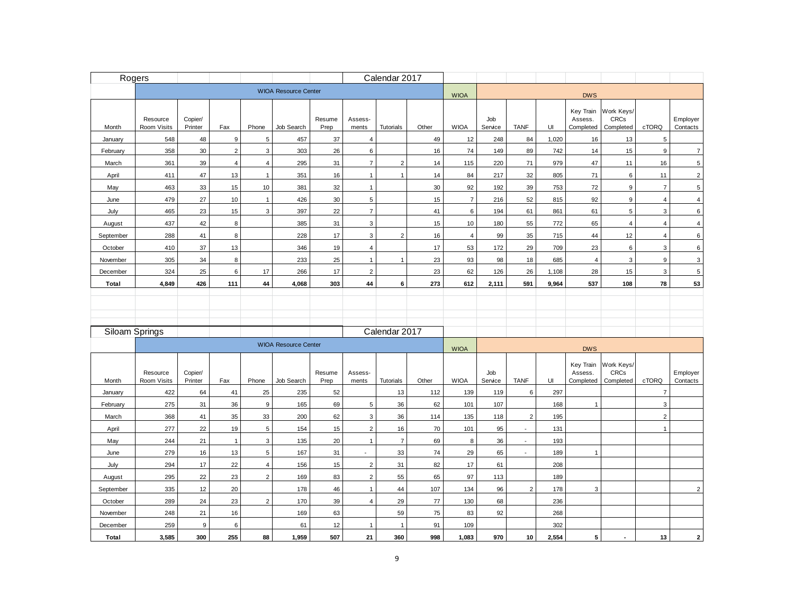| Rogers         |                             |                    |                |                |                             |                |                  | Calendar 2017    |       |                |                |                |       |                                   |                                        |                         |                      |
|----------------|-----------------------------|--------------------|----------------|----------------|-----------------------------|----------------|------------------|------------------|-------|----------------|----------------|----------------|-------|-----------------------------------|----------------------------------------|-------------------------|----------------------|
|                | <b>WIOA Resource Center</b> |                    |                |                |                             |                |                  | <b>WIOA</b>      |       |                |                | <b>DWS</b>     |       |                                   |                                        |                         |                      |
| Month          | Resource<br>Room Visits     | Copier/<br>Printer | Fax            | Phone          | Job Search                  | Resume<br>Prep | Assess-<br>ments | Tutorials        | Other | <b>WIOA</b>    | Job<br>Service | <b>TANF</b>    | UI    | Key Train<br>Assess.<br>Completed | Work Keys/<br><b>CRCs</b><br>Completed | cTORQ                   | Employer<br>Contacts |
| January        | 548                         | 48                 | 9              | 5              | 457                         | 37             | $\overline{4}$   |                  | 49    | 12             | 248            | 84             | 1,020 | $16\,$                            | 13                                     | $\,$ 5 $\,$             |                      |
| February       | 358                         | 30                 | $\overline{2}$ | 3              | 303                         | 26             | 6                |                  | 16    | 74             | 149            | 89             | 742   | 14                                | 15                                     | 9                       | $\overline{7}$       |
| March          | 361                         | 39                 | $\overline{4}$ | $\overline{4}$ | 295                         | 31             | $\overline{7}$   | $\boldsymbol{2}$ | 14    | 115            | 220            | 71             | 979   | 47                                | 11                                     | 16                      | 5                    |
| April          | 411                         | 47                 | 13             | $\mathbf{1}$   | 351                         | 16             | $\mathbf{1}$     | $\overline{1}$   | 14    | 84             | 217            | 32             | 805   | 71                                | 6                                      | 11                      | $\sqrt{2}$           |
| May            | 463                         | 33                 | 15             | 10             | 381                         | 32             | $\overline{1}$   |                  | 30    | 92             | 192            | 39             | 753   | 72                                | 9                                      | $\overline{7}$          | 5                    |
| June           | 479                         | 27                 | 10             | $\overline{1}$ | 426                         | 30             | 5                |                  | 15    | $\overline{7}$ | 216            | 52             | 815   | 92                                | 9                                      | $\overline{4}$          | $\overline{4}$       |
| July           | 465                         | 23                 | 15             | 3              | 397                         | 22             | $\overline{7}$   |                  | 41    | $\,6\,$        | 194            | 61             | 861   | 61                                | 5                                      | 3                       | 6                    |
| August         | 437                         | 42                 | 8              |                | 385                         | 31             | 3                |                  | 15    | $10$           | 180            | 55             | 772   | 65                                | $\overline{4}$                         | $\overline{4}$          | $\overline{4}$       |
| September      | 288                         | 41                 | 8              |                | 228                         | 17             | 3                | $\overline{2}$   | 16    | $\overline{4}$ | 99             | 35             | 715   | 44                                | 12                                     | $\overline{\mathbf{4}}$ | 6                    |
| October        | 410                         | 37                 | 13             |                | 346                         | 19             | $\overline{4}$   |                  | 17    | 53             | 172            | 29             | 709   | 23                                | 6                                      | 3                       | 6                    |
| November       | 305                         | 34                 | 8              |                | 233                         | 25             | $\mathbf{1}$     | $\overline{1}$   | 23    | 93             | 98             | 18             | 685   | $\overline{4}$                    | 3                                      | $\mathsf g$             | 3                    |
| December       | 324                         | 25                 | 6              | 17             | 266                         | 17             | $\overline{2}$   |                  | 23    | 62             | 126            | 26             | 1,108 | 28                                | 15                                     | 3                       | $\,$ 5 $\,$          |
| Total          | 4,849                       | 426                | 111            | 44             | 4,068                       | 303            | 44               | 6                | 273   | 612            | 2,111          | 591            | 9,964 | 537                               | 108                                    | 78                      | 53                   |
|                |                             |                    |                |                |                             |                |                  |                  |       |                |                |                |       |                                   |                                        |                         |                      |
|                |                             |                    |                |                |                             |                |                  |                  |       |                |                |                |       |                                   |                                        |                         |                      |
|                |                             |                    |                |                |                             |                |                  |                  |       |                |                |                |       |                                   |                                        |                         |                      |
| Siloam Springs |                             |                    |                |                |                             |                |                  | Calendar 2017    |       |                |                |                |       |                                   |                                        |                         |                      |
|                |                             |                    |                |                | <b>WIOA Resource Center</b> |                |                  |                  |       | <b>WIOA</b>    |                |                |       | <b>DWS</b>                        |                                        |                         |                      |
|                |                             |                    |                |                |                             |                |                  |                  |       |                |                |                |       | Key Train                         | Work Keys/                             |                         |                      |
| Month          | Resource<br>Room Visits     | Copier/<br>Printer | Fax            | Phone          | Job Search                  | Resume<br>Prep | Assess-<br>ments | Tutorials        | Other | <b>WIOA</b>    | Job<br>Service | <b>TANF</b>    | UI    | Assess.<br>Completed              | <b>CRCs</b><br>Completed               | cTORQ                   | Employer<br>Contacts |
| January        | 422                         | 64                 | 41             | 25             | 235                         | 52             |                  | 13               | 112   | 139            | 119            | 6              | 297   |                                   |                                        | $\overline{7}$          |                      |
| February       | 275                         | 31                 | 36             | 9              | 165                         | 69             | 5                | 36               | 62    | 101            | 107            |                | 168   | $\overline{1}$                    |                                        | 3                       |                      |
| March          | 368                         | 41                 | 35             | 33             | 200                         | 62             | 3                | 36               | 114   | 135            | 118            | $\overline{2}$ | 195   |                                   |                                        | $\overline{2}$          |                      |
| April          | 277                         | 22                 | 19             | $\overline{5}$ | 154                         | 15             | $\overline{2}$   | 16               | 70    | 101            | 95             | $\sim$         | 131   |                                   |                                        | $\mathbf{1}$            |                      |
| May            | 244                         | 21                 | $\overline{1}$ | 3              | 135                         | 20             | $\mathbf{1}$     | $\overline{7}$   | 69    | 8              | 36             | $\sim$         | 193   |                                   |                                        |                         |                      |
| June           | 279                         | 16                 | 13             | 5              | 167                         | 31             |                  | 33               | 74    | 29             | 65             | $\overline{a}$ | 189   | $\overline{1}$                    |                                        |                         |                      |
| July           | 294                         | 17                 | 22             | $\overline{4}$ | 156                         | 15             | $\overline{2}$   | 31               | 82    | 17             | 61             |                | 208   |                                   |                                        |                         |                      |
| August         | 295                         | 22                 | 23             | $\overline{2}$ | 169                         | 83             | $\overline{2}$   | 55               | 65    | 97             | 113            |                | 189   |                                   |                                        |                         |                      |
| September      | 335                         | 12                 | 20             |                | 178                         | 46             | $\mathbf{1}$     | 44               | 107   | 134            | 96             | $\overline{2}$ | 178   | 3                                 |                                        |                         | $\sqrt{2}$           |
| October        | 289                         | 24                 | 23             | $\overline{2}$ | 170                         | 39             | $\overline{4}$   | 29               | 77    | 130            | 68             |                | 236   |                                   |                                        |                         |                      |
| November       | 248                         | 21                 | 16             |                | 169                         | 63             |                  | 59               | 75    | 83             | 92             |                | 268   |                                   |                                        |                         |                      |
| December       | 259                         | 9                  | 6              |                | 61                          | 12             | $\overline{1}$   | $\overline{1}$   | 91    | 109            |                |                | 302   |                                   |                                        |                         |                      |
| Total          | 3,585                       | 300                | 255            | 88             | 1.959                       | 507            | 21               | 360              | 998   | 1.083          | 970            | 10             | 2.554 | 5                                 | $\blacksquare$                         | 13                      | $\mathbf{2}$         |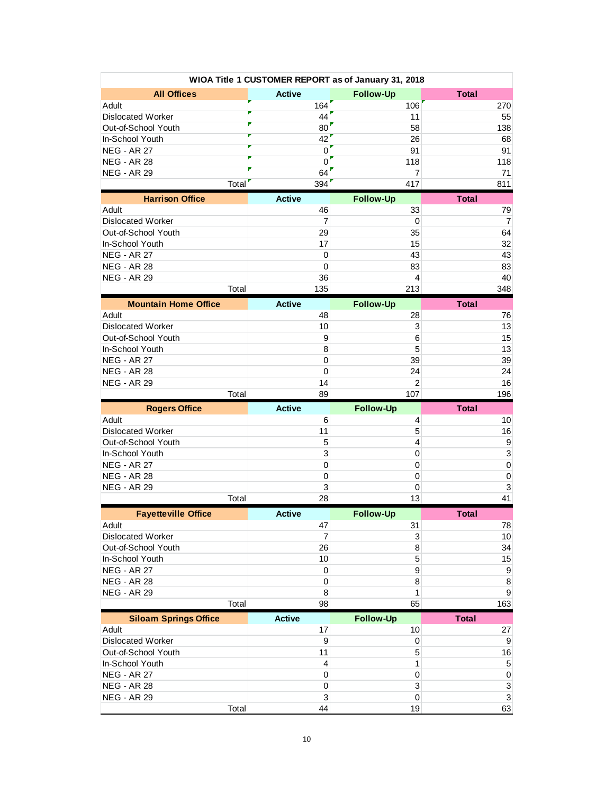|                                          |       |                | WIOA Title 1 CUSTOMER REPORT as of January 31, 2018 |                                |
|------------------------------------------|-------|----------------|-----------------------------------------------------|--------------------------------|
| <b>All Offices</b>                       |       | <b>Active</b>  | <b>Follow-Up</b>                                    | <b>Total</b>                   |
| Adult                                    |       | 164'           | 106                                                 | 270                            |
| <b>Dislocated Worker</b>                 |       | 44             | 11                                                  | 55                             |
| Out-of-School Youth                      |       | 80             | 58                                                  | 138                            |
| In-School Youth                          |       | 42             | 26                                                  | 68                             |
| <b>NEG - AR 27</b>                       |       | 0              | 91                                                  | 91                             |
| <b>NEG - AR 28</b>                       |       | 0              | 118                                                 | 118                            |
| <b>NEG - AR 29</b>                       |       | 64             | 7                                                   | 71                             |
|                                          | Total | 394            | 417                                                 | 811                            |
| <b>Harrison Office</b>                   |       | <b>Active</b>  | <b>Follow-Up</b>                                    | <b>Total</b>                   |
| Adult                                    |       | 46             | 33                                                  | 79                             |
| <b>Dislocated Worker</b>                 |       | $\overline{7}$ | 0                                                   | $\overline{7}$                 |
| Out-of-School Youth                      |       | 29             | 35                                                  | 64                             |
| In-School Youth                          |       | 17             | 15                                                  | 32                             |
| <b>NEG - AR 27</b>                       |       | 0              | 43                                                  | 43                             |
| <b>NEG - AR 28</b>                       |       | 0              | 83                                                  | 83                             |
| <b>NEG - AR 29</b>                       |       | 36             | 4                                                   | 40                             |
|                                          | Total | 135            | 213                                                 | 348                            |
| <b>Mountain Home Office</b>              |       | <b>Active</b>  | <b>Follow-Up</b>                                    | <b>Total</b>                   |
| Adult                                    |       | 48             | 28                                                  | 76                             |
| <b>Dislocated Worker</b>                 |       | 10             | 3                                                   | 13                             |
| Out-of-School Youth                      |       | 9              | 6                                                   | 15                             |
| In-School Youth                          |       | 8              | 5                                                   | 13                             |
| <b>NEG - AR 27</b>                       |       | 0              | 39                                                  | 39                             |
| <b>NEG - AR 28</b>                       |       | $\mathbf 0$    | 24                                                  | 24                             |
| <b>NEG - AR 29</b>                       |       | 14             | $\overline{2}$                                      | 16                             |
|                                          | Total |                |                                                     |                                |
|                                          |       | 89             | 107                                                 | 196                            |
| <b>Rogers Office</b>                     |       | <b>Active</b>  | <b>Follow-Up</b>                                    | <b>Total</b>                   |
| Adult                                    |       | 6              | 4                                                   | 10                             |
| <b>Dislocated Worker</b>                 |       | 11             | 5                                                   | 16                             |
| Out-of-School Youth                      |       | 5              | 4                                                   | 9                              |
| In-School Youth                          |       | 3              | 0                                                   | 3                              |
| <b>NEG - AR 27</b>                       |       | 0              | 0                                                   | 0                              |
| <b>NEG - AR 28</b>                       |       | 0              | 0                                                   | 0                              |
| <b>NEG - AR 29</b>                       |       | 3              | 0                                                   | 3                              |
|                                          | Total | 28             | 13                                                  | 41                             |
| <b>Fayetteville Office</b>               |       | <b>Active</b>  | <b>Follow-Up</b>                                    | <b>Total</b>                   |
| Adult                                    |       | 47             | 31                                                  | 78                             |
| <b>Dislocated Worker</b>                 |       | 7              | 3                                                   | 10                             |
| Out-of-School Youth                      |       | 26             | 8                                                   | 34                             |
| In-School Youth                          |       | 10             | 5                                                   | 15                             |
| <b>NEG - AR 27</b>                       |       | 0              | 9                                                   | 9                              |
| <b>NEG - AR 28</b>                       |       | 0              | 8                                                   | 8                              |
| <b>NEG - AR 29</b>                       |       | 8              | $\mathbf{1}$                                        | 9                              |
|                                          | Total | 98             | 65                                                  | 163                            |
| <b>Siloam Springs Office</b>             |       | <b>Active</b>  | <b>Follow-Up</b>                                    | <b>Total</b>                   |
| Adult                                    |       | 17             | 10                                                  | 27                             |
| Dislocated Worker                        |       | 9              | $\mathbf{0}$                                        | 9                              |
| Out-of-School Youth                      |       | 11             | 5                                                   | 16                             |
| In-School Youth                          |       | 4              | $\mathbf{1}$                                        | 5                              |
| <b>NEG - AR 27</b>                       |       | 0              | 0                                                   | 0                              |
| <b>NEG - AR 28</b><br><b>NEG - AR 29</b> |       | 0<br>3         | 3<br>$\pmb{0}$                                      | $\ensuremath{\mathsf{3}}$<br>3 |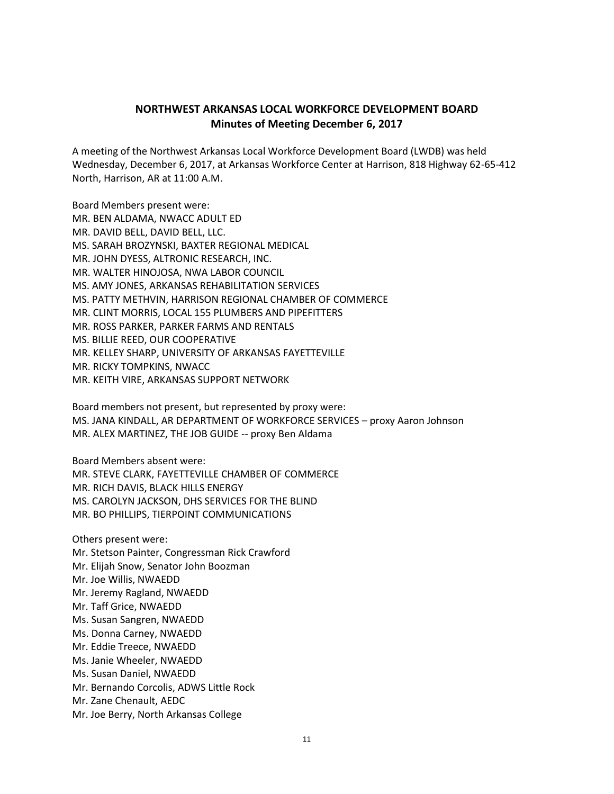#### **NORTHWEST ARKANSAS LOCAL WORKFORCE DEVELOPMENT BOARD Minutes of Meeting December 6, 2017**

A meeting of the Northwest Arkansas Local Workforce Development Board (LWDB) was held Wednesday, December 6, 2017, at Arkansas Workforce Center at Harrison, 818 Highway 62-65-412 North, Harrison, AR at 11:00 A.M.

Board Members present were: MR. BEN ALDAMA, NWACC ADULT ED MR. DAVID BELL, DAVID BELL, LLC. MS. SARAH BROZYNSKI, BAXTER REGIONAL MEDICAL MR. JOHN DYESS, ALTRONIC RESEARCH, INC. MR. WALTER HINOJOSA, NWA LABOR COUNCIL MS. AMY JONES, ARKANSAS REHABILITATION SERVICES MS. PATTY METHVIN, HARRISON REGIONAL CHAMBER OF COMMERCE MR. CLINT MORRIS, LOCAL 155 PLUMBERS AND PIPEFITTERS MR. ROSS PARKER, PARKER FARMS AND RENTALS MS. BILLIE REED, OUR COOPERATIVE MR. KELLEY SHARP, UNIVERSITY OF ARKANSAS FAYETTEVILLE MR. RICKY TOMPKINS, NWACC MR. KEITH VIRE, ARKANSAS SUPPORT NETWORK

Board members not present, but represented by proxy were: MS. JANA KINDALL, AR DEPARTMENT OF WORKFORCE SERVICES – proxy Aaron Johnson MR. ALEX MARTINEZ, THE JOB GUIDE -- proxy Ben Aldama

Board Members absent were: MR. STEVE CLARK, FAYETTEVILLE CHAMBER OF COMMERCE MR. RICH DAVIS, BLACK HILLS ENERGY MS. CAROLYN JACKSON, DHS SERVICES FOR THE BLIND MR. BO PHILLIPS, TIERPOINT COMMUNICATIONS

Others present were: Mr. Stetson Painter, Congressman Rick Crawford Mr. Elijah Snow, Senator John Boozman Mr. Joe Willis, NWAEDD Mr. Jeremy Ragland, NWAEDD Mr. Taff Grice, NWAEDD Ms. Susan Sangren, NWAEDD Ms. Donna Carney, NWAEDD Mr. Eddie Treece, NWAEDD Ms. Janie Wheeler, NWAEDD Ms. Susan Daniel, NWAEDD Mr. Bernando Corcolis, ADWS Little Rock Mr. Zane Chenault, AEDC Mr. Joe Berry, North Arkansas College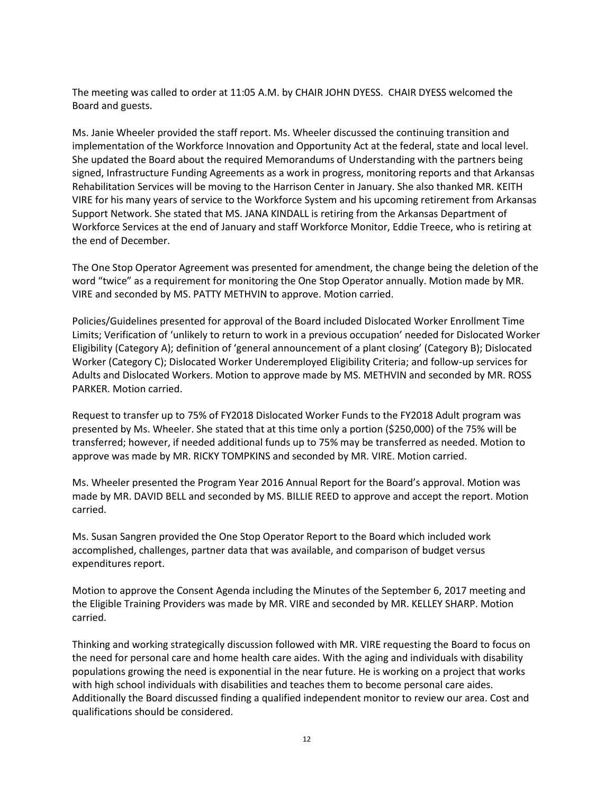The meeting was called to order at 11:05 A.M. by CHAIR JOHN DYESS. CHAIR DYESS welcomed the Board and guests.

Ms. Janie Wheeler provided the staff report. Ms. Wheeler discussed the continuing transition and implementation of the Workforce Innovation and Opportunity Act at the federal, state and local level. She updated the Board about the required Memorandums of Understanding with the partners being signed, Infrastructure Funding Agreements as a work in progress, monitoring reports and that Arkansas Rehabilitation Services will be moving to the Harrison Center in January. She also thanked MR. KEITH VIRE for his many years of service to the Workforce System and his upcoming retirement from Arkansas Support Network. She stated that MS. JANA KINDALL is retiring from the Arkansas Department of Workforce Services at the end of January and staff Workforce Monitor, Eddie Treece, who is retiring at the end of December.

The One Stop Operator Agreement was presented for amendment, the change being the deletion of the word "twice" as a requirement for monitoring the One Stop Operator annually. Motion made by MR. VIRE and seconded by MS. PATTY METHVIN to approve. Motion carried.

Policies/Guidelines presented for approval of the Board included Dislocated Worker Enrollment Time Limits; Verification of 'unlikely to return to work in a previous occupation' needed for Dislocated Worker Eligibility (Category A); definition of 'general announcement of a plant closing' (Category B); Dislocated Worker (Category C); Dislocated Worker Underemployed Eligibility Criteria; and follow-up services for Adults and Dislocated Workers. Motion to approve made by MS. METHVIN and seconded by MR. ROSS PARKER. Motion carried.

Request to transfer up to 75% of FY2018 Dislocated Worker Funds to the FY2018 Adult program was presented by Ms. Wheeler. She stated that at this time only a portion (\$250,000) of the 75% will be transferred; however, if needed additional funds up to 75% may be transferred as needed. Motion to approve was made by MR. RICKY TOMPKINS and seconded by MR. VIRE. Motion carried.

Ms. Wheeler presented the Program Year 2016 Annual Report for the Board's approval. Motion was made by MR. DAVID BELL and seconded by MS. BILLIE REED to approve and accept the report. Motion carried.

Ms. Susan Sangren provided the One Stop Operator Report to the Board which included work accomplished, challenges, partner data that was available, and comparison of budget versus expenditures report.

Motion to approve the Consent Agenda including the Minutes of the September 6, 2017 meeting and the Eligible Training Providers was made by MR. VIRE and seconded by MR. KELLEY SHARP. Motion carried.

Thinking and working strategically discussion followed with MR. VIRE requesting the Board to focus on the need for personal care and home health care aides. With the aging and individuals with disability populations growing the need is exponential in the near future. He is working on a project that works with high school individuals with disabilities and teaches them to become personal care aides. Additionally the Board discussed finding a qualified independent monitor to review our area. Cost and qualifications should be considered.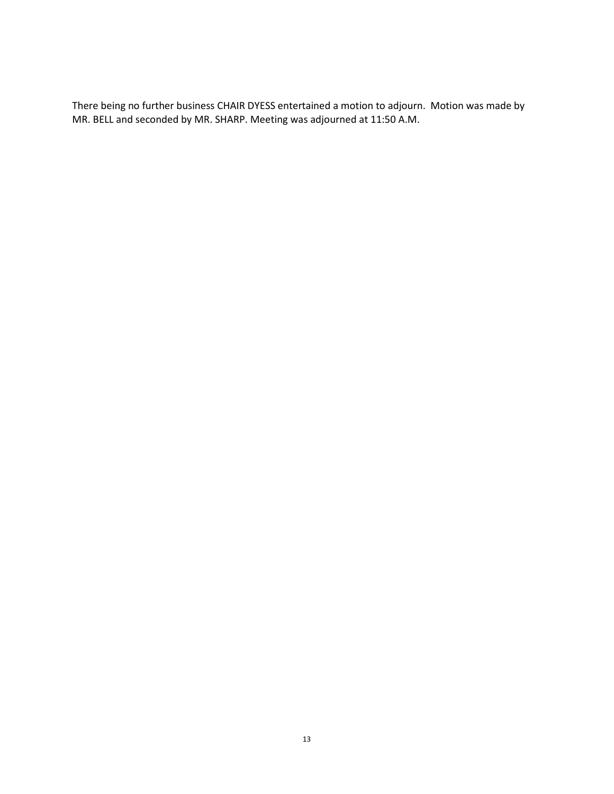There being no further business CHAIR DYESS entertained a motion to adjourn. Motion was made by MR. BELL and seconded by MR. SHARP. Meeting was adjourned at 11:50 A.M.